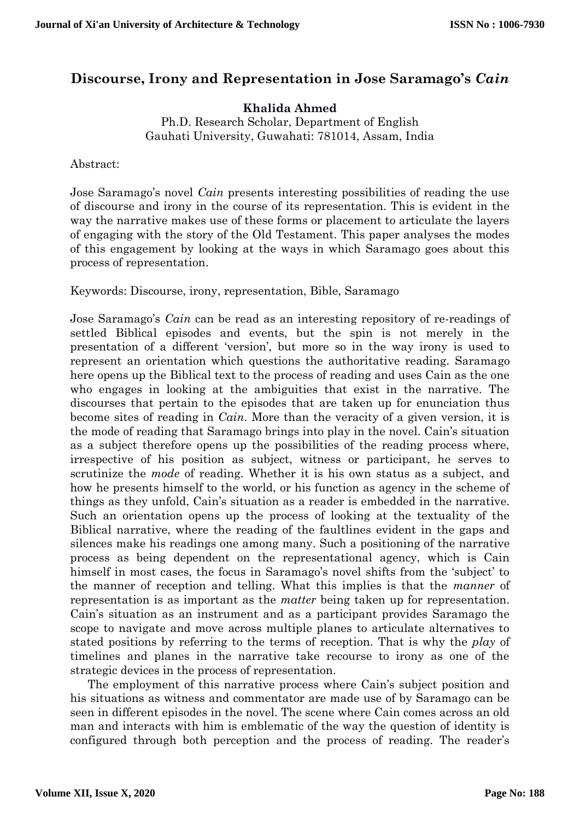## **Discourse, Irony and Representation in Jose Saramago's** *Cain*

**Khalida Ahmed**

Ph.D. Research Scholar, Department of English Gauhati University, Guwahati: 781014, Assam, India

Abstract:

Jose Saramago's novel *Cain* presents interesting possibilities of reading the use of discourse and irony in the course of its representation. This is evident in the way the narrative makes use of these forms or placement to articulate the layers of engaging with the story of the Old Testament. This paper analyses the modes of this engagement by looking at the ways in which Saramago goes about this process of representation.

Keywords: Discourse, irony, representation, Bible, Saramago

Jose Saramago's *Cain* can be read as an interesting repository of re-readings of settled Biblical episodes and events, but the spin is not merely in the presentation of a different 'version', but more so in the way irony is used to represent an orientation which questions the authoritative reading. Saramago here opens up the Biblical text to the process of reading and uses Cain as the one who engages in looking at the ambiguities that exist in the narrative. The discourses that pertain to the episodes that are taken up for enunciation thus become sites of reading in *Cain*. More than the veracity of a given version, it is the mode of reading that Saramago brings into play in the novel. Cain's situation as a subject therefore opens up the possibilities of the reading process where, irrespective of his position as subject, witness or participant, he serves to scrutinize the *mode* of reading. Whether it is his own status as a subject, and how he presents himself to the world, or his function as agency in the scheme of things as they unfold, Cain's situation as a reader is embedded in the narrative. Such an orientation opens up the process of looking at the textuality of the Biblical narrative, where the reading of the faultlines evident in the gaps and silences make his readings one among many. Such a positioning of the narrative process as being dependent on the representational agency, which is Cain himself in most cases, the focus in Saramago's novel shifts from the 'subject' to the manner of reception and telling. What this implies is that the *manner* of representation is as important as the *matter* being taken up for representation. Cain's situation as an instrument and as a participant provides Saramago the scope to navigate and move across multiple planes to articulate alternatives to stated positions by referring to the terms of reception. That is why the *play* of timelines and planes in the narrative take recourse to irony as one of the strategic devices in the process of representation.

The employment of this narrative process where Cain's subject position and his situations as witness and commentator are made use of by Saramago can be seen in different episodes in the novel. The scene where Cain comes across an old man and interacts with him is emblematic of the way the question of identity is configured through both perception and the process of reading. The reader's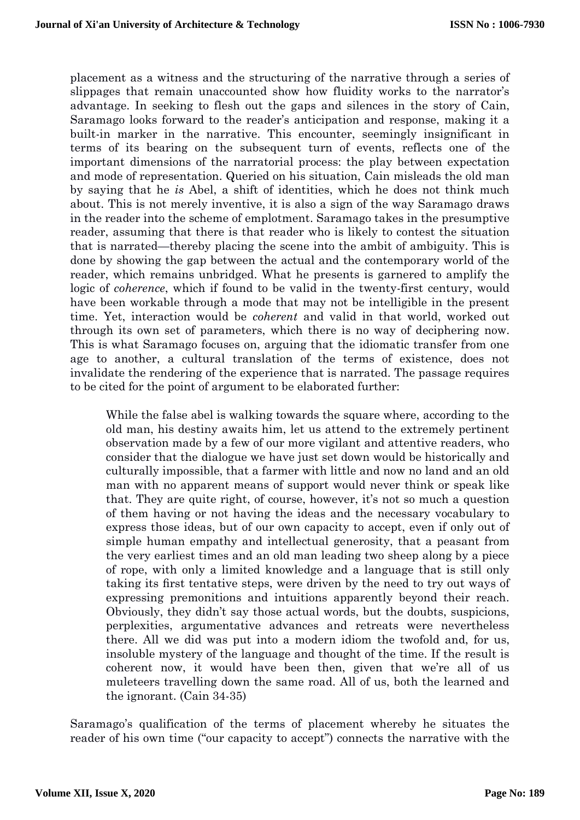placement as a witness and the structuring of the narrative through a series of slippages that remain unaccounted show how fluidity works to the narrator's advantage. In seeking to flesh out the gaps and silences in the story of Cain, Saramago looks forward to the reader's anticipation and response, making it a built-in marker in the narrative. This encounter, seemingly insignificant in terms of its bearing on the subsequent turn of events, reflects one of the important dimensions of the narratorial process: the play between expectation and mode of representation. Queried on his situation, Cain misleads the old man by saying that he *is* Abel, a shift of identities, which he does not think much about. This is not merely inventive, it is also a sign of the way Saramago draws in the reader into the scheme of emplotment. Saramago takes in the presumptive reader, assuming that there is that reader who is likely to contest the situation that is narrated—thereby placing the scene into the ambit of ambiguity. This is done by showing the gap between the actual and the contemporary world of the reader, which remains unbridged. What he presents is garnered to amplify the logic of *coherence*, which if found to be valid in the twenty-first century, would have been workable through a mode that may not be intelligible in the present time. Yet, interaction would be *coherent* and valid in that world, worked out through its own set of parameters, which there is no way of deciphering now. This is what Saramago focuses on, arguing that the idiomatic transfer from one age to another, a cultural translation of the terms of existence, does not invalidate the rendering of the experience that is narrated. The passage requires to be cited for the point of argument to be elaborated further:

While the false abel is walking towards the square where, according to the old man, his destiny awaits him, let us attend to the extremely pertinent observation made by a few of our more vigilant and attentive readers, who consider that the dialogue we have just set down would be historically and culturally impossible, that a farmer with little and now no land and an old man with no apparent means of support would never think or speak like that. They are quite right, of course, however, it's not so much a question of them having or not having the ideas and the necessary vocabulary to express those ideas, but of our own capacity to accept, even if only out of simple human empathy and intellectual generosity, that a peasant from the very earliest times and an old man leading two sheep along by a piece of rope, with only a limited knowledge and a language that is still only taking its first tentative steps, were driven by the need to try out ways of expressing premonitions and intuitions apparently beyond their reach. Obviously, they didn't say those actual words, but the doubts, suspicions, perplexities, argumentative advances and retreats were nevertheless there. All we did was put into a modern idiom the twofold and, for us, insoluble mystery of the language and thought of the time. If the result is coherent now, it would have been then, given that we're all of us muleteers travelling down the same road. All of us, both the learned and the ignorant. (Cain 34-35)

Saramago's qualification of the terms of placement whereby he situates the reader of his own time ("our capacity to accept") connects the narrative with the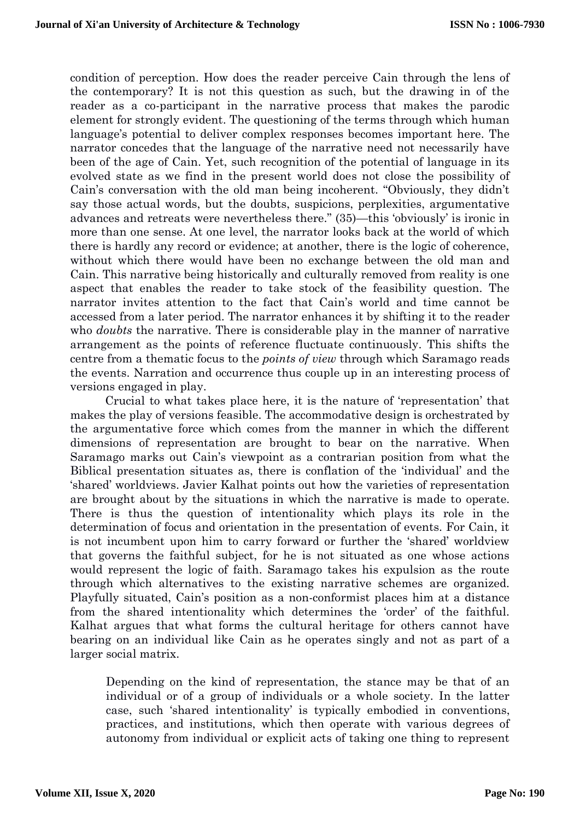condition of perception. How does the reader perceive Cain through the lens of the contemporary? It is not this question as such, but the drawing in of the reader as a co-participant in the narrative process that makes the parodic element for strongly evident. The questioning of the terms through which human language's potential to deliver complex responses becomes important here. The narrator concedes that the language of the narrative need not necessarily have been of the age of Cain. Yet, such recognition of the potential of language in its evolved state as we find in the present world does not close the possibility of Cain's conversation with the old man being incoherent. "Obviously, they didn't say those actual words, but the doubts, suspicions, perplexities, argumentative advances and retreats were nevertheless there." (35)—this 'obviously' is ironic in more than one sense. At one level, the narrator looks back at the world of which there is hardly any record or evidence; at another, there is the logic of coherence, without which there would have been no exchange between the old man and Cain. This narrative being historically and culturally removed from reality is one aspect that enables the reader to take stock of the feasibility question. The narrator invites attention to the fact that Cain's world and time cannot be accessed from a later period. The narrator enhances it by shifting it to the reader who *doubts* the narrative. There is considerable play in the manner of narrative arrangement as the points of reference fluctuate continuously. This shifts the centre from a thematic focus to the *points of view* through which Saramago reads the events. Narration and occurrence thus couple up in an interesting process of versions engaged in play.

Crucial to what takes place here, it is the nature of 'representation' that makes the play of versions feasible. The accommodative design is orchestrated by the argumentative force which comes from the manner in which the different dimensions of representation are brought to bear on the narrative. When Saramago marks out Cain's viewpoint as a contrarian position from what the Biblical presentation situates as, there is conflation of the 'individual' and the 'shared' worldviews. Javier Kalhat points out how the varieties of representation are brought about by the situations in which the narrative is made to operate. There is thus the question of intentionality which plays its role in the determination of focus and orientation in the presentation of events. For Cain, it is not incumbent upon him to carry forward or further the 'shared' worldview that governs the faithful subject, for he is not situated as one whose actions would represent the logic of faith. Saramago takes his expulsion as the route through which alternatives to the existing narrative schemes are organized. Playfully situated, Cain's position as a non-conformist places him at a distance from the shared intentionality which determines the 'order' of the faithful. Kalhat argues that what forms the cultural heritage for others cannot have bearing on an individual like Cain as he operates singly and not as part of a larger social matrix.

Depending on the kind of representation, the stance may be that of an individual or of a group of individuals or a whole society. In the latter case, such 'shared intentionality' is typically embodied in conventions, practices, and institutions, which then operate with various degrees of autonomy from individual or explicit acts of taking one thing to represent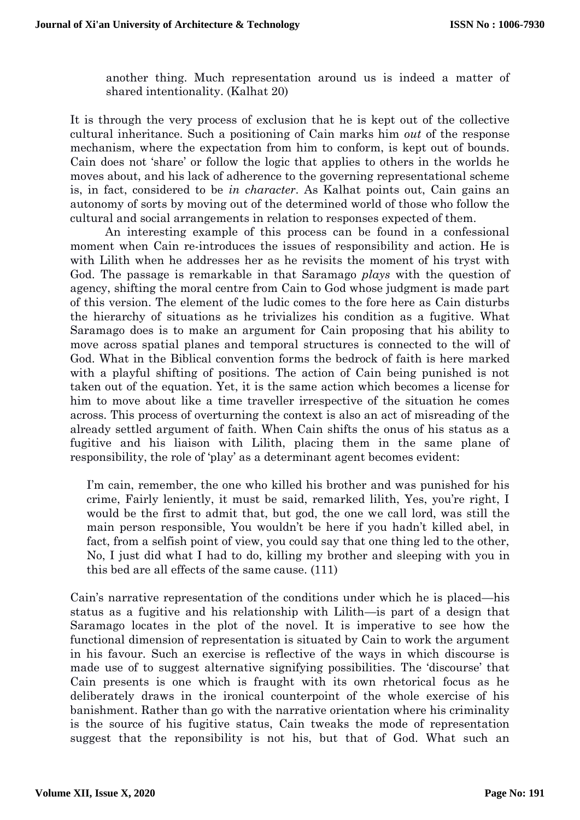another thing. Much representation around us is indeed a matter of shared intentionality. (Kalhat 20)

It is through the very process of exclusion that he is kept out of the collective cultural inheritance. Such a positioning of Cain marks him *out* of the response mechanism, where the expectation from him to conform, is kept out of bounds. Cain does not 'share' or follow the logic that applies to others in the worlds he moves about, and his lack of adherence to the governing representational scheme is, in fact, considered to be *in character*. As Kalhat points out, Cain gains an autonomy of sorts by moving out of the determined world of those who follow the cultural and social arrangements in relation to responses expected of them.

An interesting example of this process can be found in a confessional moment when Cain re-introduces the issues of responsibility and action. He is with Lilith when he addresses her as he revisits the moment of his tryst with God. The passage is remarkable in that Saramago *plays* with the question of agency, shifting the moral centre from Cain to God whose judgment is made part of this version. The element of the ludic comes to the fore here as Cain disturbs the hierarchy of situations as he trivializes his condition as a fugitive. What Saramago does is to make an argument for Cain proposing that his ability to move across spatial planes and temporal structures is connected to the will of God. What in the Biblical convention forms the bedrock of faith is here marked with a playful shifting of positions. The action of Cain being punished is not taken out of the equation. Yet, it is the same action which becomes a license for him to move about like a time traveller irrespective of the situation he comes across. This process of overturning the context is also an act of misreading of the already settled argument of faith. When Cain shifts the onus of his status as a fugitive and his liaison with Lilith, placing them in the same plane of responsibility, the role of 'play' as a determinant agent becomes evident:

I'm cain, remember, the one who killed his brother and was punished for his crime, Fairly leniently, it must be said, remarked lilith, Yes, you're right, I would be the first to admit that, but god, the one we call lord, was still the main person responsible, You wouldn't be here if you hadn't killed abel, in fact, from a selfish point of view, you could say that one thing led to the other, No, I just did what I had to do, killing my brother and sleeping with you in this bed are all effects of the same cause. (111)

Cain's narrative representation of the conditions under which he is placed—his status as a fugitive and his relationship with Lilith—is part of a design that Saramago locates in the plot of the novel. It is imperative to see how the functional dimension of representation is situated by Cain to work the argument in his favour. Such an exercise is reflective of the ways in which discourse is made use of to suggest alternative signifying possibilities. The 'discourse' that Cain presents is one which is fraught with its own rhetorical focus as he deliberately draws in the ironical counterpoint of the whole exercise of his banishment. Rather than go with the narrative orientation where his criminality is the source of his fugitive status, Cain tweaks the mode of representation suggest that the reponsibility is not his, but that of God. What such an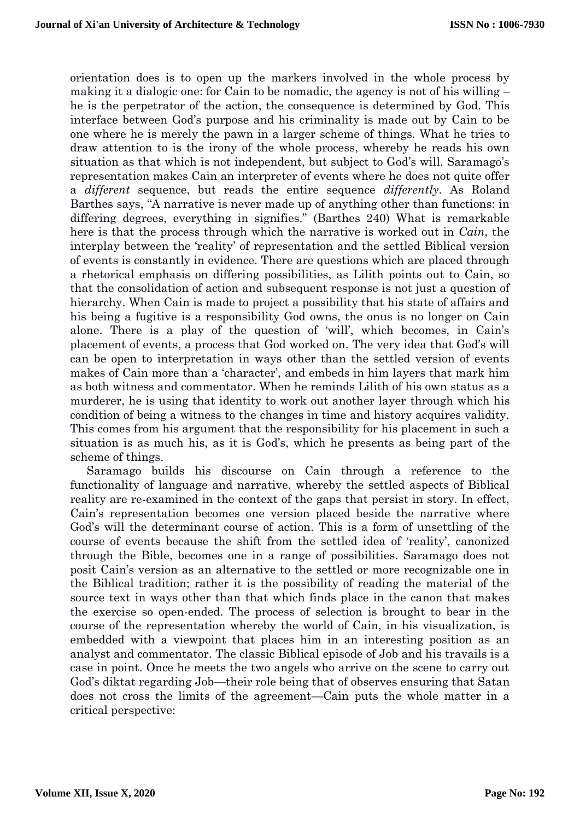orientation does is to open up the markers involved in the whole process by making it a dialogic one: for Cain to be nomadic, the agency is not of his willing – he is the perpetrator of the action, the consequence is determined by God. This interface between God's purpose and his criminality is made out by Cain to be one where he is merely the pawn in a larger scheme of things. What he tries to draw attention to is the irony of the whole process, whereby he reads his own situation as that which is not independent, but subject to God's will. Saramago's representation makes Cain an interpreter of events where he does not quite offer a *different* sequence, but reads the entire sequence *differently*. As Roland Barthes says, "A narrative is never made up of anything other than functions: in differing degrees, everything in signifies." (Barthes 240) What is remarkable here is that the process through which the narrative is worked out in *Cain*, the interplay between the 'reality' of representation and the settled Biblical version of events is constantly in evidence. There are questions which are placed through a rhetorical emphasis on differing possibilities, as Lilith points out to Cain, so that the consolidation of action and subsequent response is not just a question of hierarchy. When Cain is made to project a possibility that his state of affairs and his being a fugitive is a responsibility God owns, the onus is no longer on Cain alone. There is a play of the question of 'will', which becomes, in Cain's placement of events, a process that God worked on. The very idea that God's will can be open to interpretation in ways other than the settled version of events makes of Cain more than a 'character', and embeds in him layers that mark him as both witness and commentator. When he reminds Lilith of his own status as a murderer, he is using that identity to work out another layer through which his condition of being a witness to the changes in time and history acquires validity. This comes from his argument that the responsibility for his placement in such a situation is as much his, as it is God's, which he presents as being part of the scheme of things.

Saramago builds his discourse on Cain through a reference to the functionality of language and narrative, whereby the settled aspects of Biblical reality are re-examined in the context of the gaps that persist in story. In effect, Cain's representation becomes one version placed beside the narrative where God's will the determinant course of action. This is a form of unsettling of the course of events because the shift from the settled idea of 'reality', canonized through the Bible, becomes one in a range of possibilities. Saramago does not posit Cain's version as an alternative to the settled or more recognizable one in the Biblical tradition; rather it is the possibility of reading the material of the source text in ways other than that which finds place in the canon that makes the exercise so open-ended. The process of selection is brought to bear in the course of the representation whereby the world of Cain, in his visualization, is embedded with a viewpoint that places him in an interesting position as an analyst and commentator. The classic Biblical episode of Job and his travails is a case in point. Once he meets the two angels who arrive on the scene to carry out God's diktat regarding Job—their role being that of observes ensuring that Satan does not cross the limits of the agreement—Cain puts the whole matter in a critical perspective: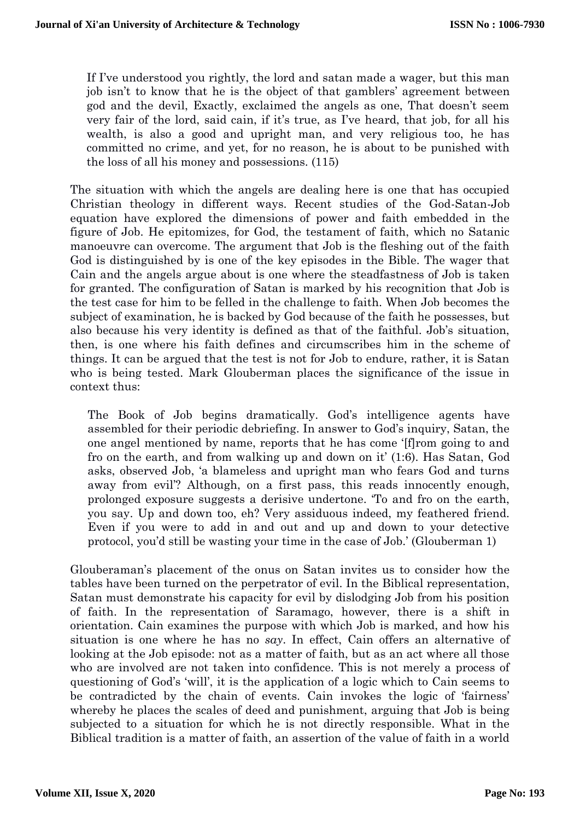If I've understood you rightly, the lord and satan made a wager, but this man job isn't to know that he is the object of that gamblers' agreement between god and the devil, Exactly, exclaimed the angels as one, That doesn't seem very fair of the lord, said cain, if it's true, as I've heard, that job, for all his wealth, is also a good and upright man, and very religious too, he has committed no crime, and yet, for no reason, he is about to be punished with the loss of all his money and possessions. (115)

The situation with which the angels are dealing here is one that has occupied Christian theology in different ways. Recent studies of the God-Satan-Job equation have explored the dimensions of power and faith embedded in the figure of Job. He epitomizes, for God, the testament of faith, which no Satanic manoeuvre can overcome. The argument that Job is the fleshing out of the faith God is distinguished by is one of the key episodes in the Bible. The wager that Cain and the angels argue about is one where the steadfastness of Job is taken for granted. The configuration of Satan is marked by his recognition that Job is the test case for him to be felled in the challenge to faith. When Job becomes the subject of examination, he is backed by God because of the faith he possesses, but also because his very identity is defined as that of the faithful. Job's situation, then, is one where his faith defines and circumscribes him in the scheme of things. It can be argued that the test is not for Job to endure, rather, it is Satan who is being tested. Mark Glouberman places the significance of the issue in context thus:

The Book of Job begins dramatically. God's intelligence agents have assembled for their periodic debriefing. In answer to God's inquiry, Satan, the one angel mentioned by name, reports that he has come '[f]rom going to and fro on the earth, and from walking up and down on it' (1:6). Has Satan, God asks, observed Job, 'a blameless and upright man who fears God and turns away from evil'? Although, on a first pass, this reads innocently enough, prolonged exposure suggests a derisive undertone. 'To and fro on the earth, you say. Up and down too, eh? Very assiduous indeed, my feathered friend. Even if you were to add in and out and up and down to your detective protocol, you'd still be wasting your time in the case of Job.' (Glouberman 1)

Glouberaman's placement of the onus on Satan invites us to consider how the tables have been turned on the perpetrator of evil. In the Biblical representation, Satan must demonstrate his capacity for evil by dislodging Job from his position of faith. In the representation of Saramago, however, there is a shift in orientation. Cain examines the purpose with which Job is marked, and how his situation is one where he has no *say*. In effect, Cain offers an alternative of looking at the Job episode: not as a matter of faith, but as an act where all those who are involved are not taken into confidence. This is not merely a process of questioning of God's 'will', it is the application of a logic which to Cain seems to be contradicted by the chain of events. Cain invokes the logic of 'fairness' whereby he places the scales of deed and punishment, arguing that Job is being subjected to a situation for which he is not directly responsible. What in the Biblical tradition is a matter of faith, an assertion of the value of faith in a world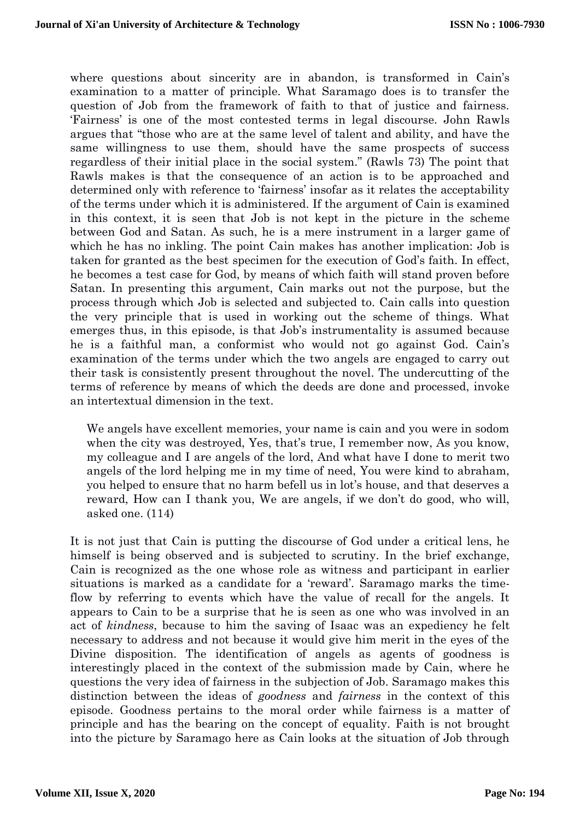where questions about sincerity are in abandon, is transformed in Cain's examination to a matter of principle. What Saramago does is to transfer the question of Job from the framework of faith to that of justice and fairness. 'Fairness' is one of the most contested terms in legal discourse. John Rawls argues that "those who are at the same level of talent and ability, and have the same willingness to use them, should have the same prospects of success regardless of their initial place in the social system." (Rawls 73) The point that Rawls makes is that the consequence of an action is to be approached and determined only with reference to 'fairness' insofar as it relates the acceptability of the terms under which it is administered. If the argument of Cain is examined in this context, it is seen that Job is not kept in the picture in the scheme between God and Satan. As such, he is a mere instrument in a larger game of which he has no inkling. The point Cain makes has another implication: Job is taken for granted as the best specimen for the execution of God's faith. In effect, he becomes a test case for God, by means of which faith will stand proven before Satan. In presenting this argument, Cain marks out not the purpose, but the process through which Job is selected and subjected to. Cain calls into question the very principle that is used in working out the scheme of things. What emerges thus, in this episode, is that Job's instrumentality is assumed because he is a faithful man, a conformist who would not go against God. Cain's examination of the terms under which the two angels are engaged to carry out their task is consistently present throughout the novel. The undercutting of the terms of reference by means of which the deeds are done and processed, invoke an intertextual dimension in the text.

We angels have excellent memories, your name is cain and you were in sodom when the city was destroyed, Yes, that's true, I remember now, As you know, my colleague and I are angels of the lord, And what have I done to merit two angels of the lord helping me in my time of need, You were kind to abraham, you helped to ensure that no harm befell us in lot's house, and that deserves a reward, How can I thank you, We are angels, if we don't do good, who will, asked one. (114)

It is not just that Cain is putting the discourse of God under a critical lens, he himself is being observed and is subjected to scrutiny. In the brief exchange, Cain is recognized as the one whose role as witness and participant in earlier situations is marked as a candidate for a 'reward'. Saramago marks the timeflow by referring to events which have the value of recall for the angels. It appears to Cain to be a surprise that he is seen as one who was involved in an act of *kindness*, because to him the saving of Isaac was an expediency he felt necessary to address and not because it would give him merit in the eyes of the Divine disposition. The identification of angels as agents of goodness is interestingly placed in the context of the submission made by Cain, where he questions the very idea of fairness in the subjection of Job. Saramago makes this distinction between the ideas of *goodness* and *fairness* in the context of this episode. Goodness pertains to the moral order while fairness is a matter of principle and has the bearing on the concept of equality. Faith is not brought into the picture by Saramago here as Cain looks at the situation of Job through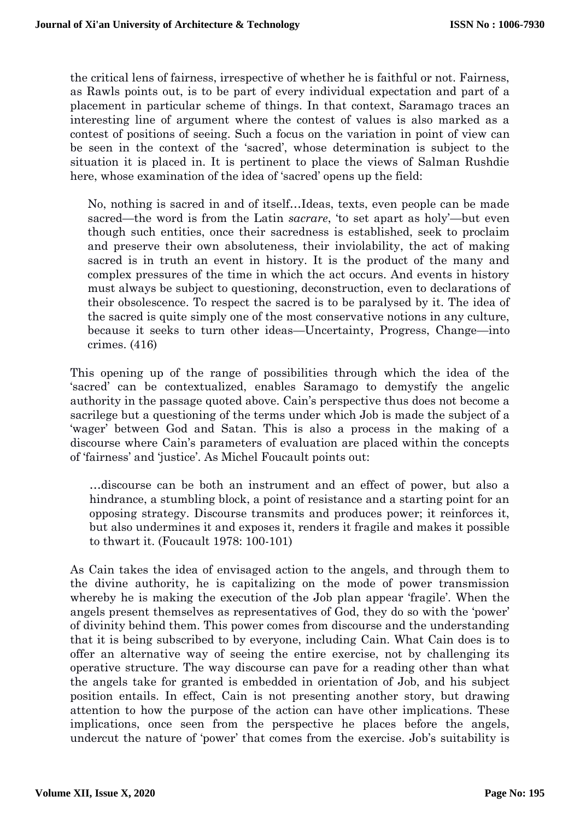the critical lens of fairness, irrespective of whether he is faithful or not. Fairness, as Rawls points out, is to be part of every individual expectation and part of a placement in particular scheme of things. In that context, Saramago traces an interesting line of argument where the contest of values is also marked as a contest of positions of seeing. Such a focus on the variation in point of view can be seen in the context of the 'sacred', whose determination is subject to the situation it is placed in. It is pertinent to place the views of Salman Rushdie here, whose examination of the idea of 'sacred' opens up the field:

No, nothing is sacred in and of itself…Ideas, texts, even people can be made sacred—the word is from the Latin *sacrare*, 'to set apart as holy'—but even though such entities, once their sacredness is established, seek to proclaim and preserve their own absoluteness, their inviolability, the act of making sacred is in truth an event in history. It is the product of the many and complex pressures of the time in which the act occurs. And events in history must always be subject to questioning, deconstruction, even to declarations of their obsolescence. To respect the sacred is to be paralysed by it. The idea of the sacred is quite simply one of the most conservative notions in any culture, because it seeks to turn other ideas—Uncertainty, Progress, Change—into crimes. (416)

This opening up of the range of possibilities through which the idea of the 'sacred' can be contextualized, enables Saramago to demystify the angelic authority in the passage quoted above. Cain's perspective thus does not become a sacrilege but a questioning of the terms under which Job is made the subject of a 'wager' between God and Satan. This is also a process in the making of a discourse where Cain's parameters of evaluation are placed within the concepts of 'fairness' and 'justice'. As Michel Foucault points out:

…discourse can be both an instrument and an effect of power, but also a hindrance, a stumbling block, a point of resistance and a starting point for an opposing strategy. Discourse transmits and produces power; it reinforces it, but also undermines it and exposes it, renders it fragile and makes it possible to thwart it. (Foucault 1978: 100-101)

As Cain takes the idea of envisaged action to the angels, and through them to the divine authority, he is capitalizing on the mode of power transmission whereby he is making the execution of the Job plan appear 'fragile'. When the angels present themselves as representatives of God, they do so with the 'power' of divinity behind them. This power comes from discourse and the understanding that it is being subscribed to by everyone, including Cain. What Cain does is to offer an alternative way of seeing the entire exercise, not by challenging its operative structure. The way discourse can pave for a reading other than what the angels take for granted is embedded in orientation of Job, and his subject position entails. In effect, Cain is not presenting another story, but drawing attention to how the purpose of the action can have other implications. These implications, once seen from the perspective he places before the angels, undercut the nature of 'power' that comes from the exercise. Job's suitability is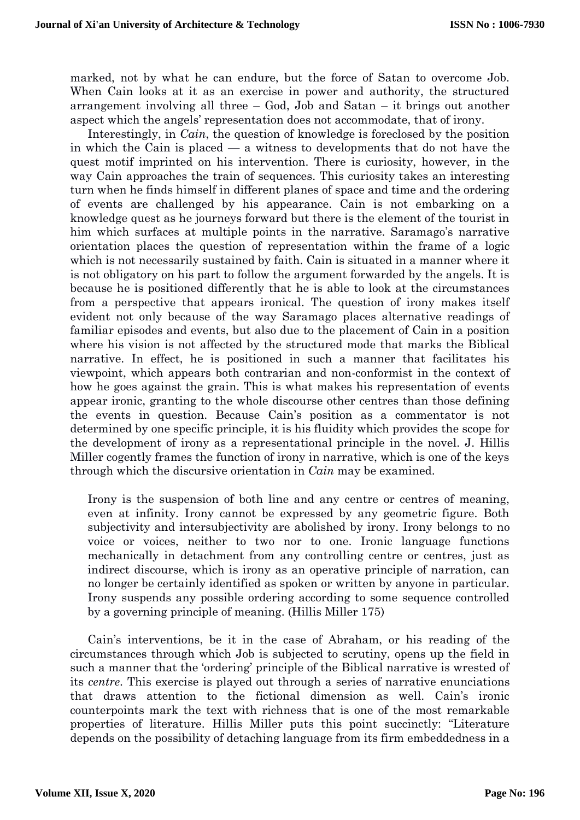marked, not by what he can endure, but the force of Satan to overcome Job. When Cain looks at it as an exercise in power and authority, the structured arrangement involving all three – God, Job and Satan – it brings out another aspect which the angels' representation does not accommodate, that of irony.

Interestingly, in *Cain*, the question of knowledge is foreclosed by the position in which the Cain is placed — a witness to developments that do not have the quest motif imprinted on his intervention. There is curiosity, however, in the way Cain approaches the train of sequences. This curiosity takes an interesting turn when he finds himself in different planes of space and time and the ordering of events are challenged by his appearance. Cain is not embarking on a knowledge quest as he journeys forward but there is the element of the tourist in him which surfaces at multiple points in the narrative. Saramago's narrative orientation places the question of representation within the frame of a logic which is not necessarily sustained by faith. Cain is situated in a manner where it is not obligatory on his part to follow the argument forwarded by the angels. It is because he is positioned differently that he is able to look at the circumstances from a perspective that appears ironical. The question of irony makes itself evident not only because of the way Saramago places alternative readings of familiar episodes and events, but also due to the placement of Cain in a position where his vision is not affected by the structured mode that marks the Biblical narrative. In effect, he is positioned in such a manner that facilitates his viewpoint, which appears both contrarian and non-conformist in the context of how he goes against the grain. This is what makes his representation of events appear ironic, granting to the whole discourse other centres than those defining the events in question. Because Cain's position as a commentator is not determined by one specific principle, it is his fluidity which provides the scope for the development of irony as a representational principle in the novel. J. Hillis Miller cogently frames the function of irony in narrative, which is one of the keys through which the discursive orientation in *Cain* may be examined.

Irony is the suspension of both line and any centre or centres of meaning, even at infinity. Irony cannot be expressed by any geometric figure. Both subjectivity and intersubjectivity are abolished by irony. Irony belongs to no voice or voices, neither to two nor to one. Ironic language functions mechanically in detachment from any controlling centre or centres, just as indirect discourse, which is irony as an operative principle of narration, can no longer be certainly identified as spoken or written by anyone in particular. Irony suspends any possible ordering according to some sequence controlled by a governing principle of meaning. (Hillis Miller 175)

Cain's interventions, be it in the case of Abraham, or his reading of the circumstances through which Job is subjected to scrutiny, opens up the field in such a manner that the 'ordering' principle of the Biblical narrative is wrested of its *centre*. This exercise is played out through a series of narrative enunciations that draws attention to the fictional dimension as well. Cain's ironic counterpoints mark the text with richness that is one of the most remarkable properties of literature. Hillis Miller puts this point succinctly: "Literature depends on the possibility of detaching language from its firm embeddedness in a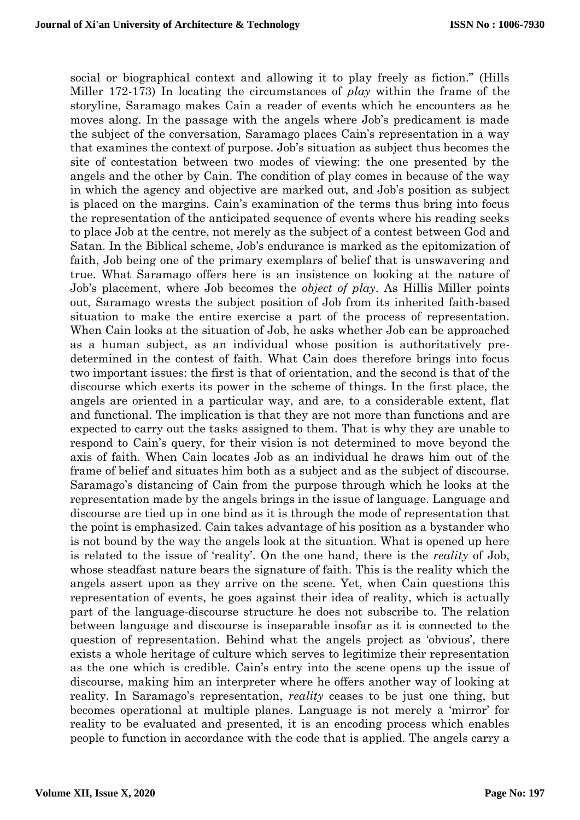social or biographical context and allowing it to play freely as fiction." (Hills Miller 172-173) In locating the circumstances of *play* within the frame of the storyline, Saramago makes Cain a reader of events which he encounters as he moves along. In the passage with the angels where Job's predicament is made the subject of the conversation, Saramago places Cain's representation in a way that examines the context of purpose. Job's situation as subject thus becomes the site of contestation between two modes of viewing: the one presented by the angels and the other by Cain. The condition of play comes in because of the way in which the agency and objective are marked out, and Job's position as subject is placed on the margins. Cain's examination of the terms thus bring into focus the representation of the anticipated sequence of events where his reading seeks to place Job at the centre, not merely as the subject of a contest between God and Satan. In the Biblical scheme, Job's endurance is marked as the epitomization of faith, Job being one of the primary exemplars of belief that is unswavering and true. What Saramago offers here is an insistence on looking at the nature of Job's placement, where Job becomes the *object of play*. As Hillis Miller points out, Saramago wrests the subject position of Job from its inherited faith-based situation to make the entire exercise a part of the process of representation. When Cain looks at the situation of Job, he asks whether Job can be approached as a human subject, as an individual whose position is authoritatively predetermined in the contest of faith. What Cain does therefore brings into focus two important issues: the first is that of orientation, and the second is that of the discourse which exerts its power in the scheme of things. In the first place, the angels are oriented in a particular way, and are, to a considerable extent, flat and functional. The implication is that they are not more than functions and are expected to carry out the tasks assigned to them. That is why they are unable to respond to Cain's query, for their vision is not determined to move beyond the axis of faith. When Cain locates Job as an individual he draws him out of the frame of belief and situates him both as a subject and as the subject of discourse. Saramago's distancing of Cain from the purpose through which he looks at the representation made by the angels brings in the issue of language. Language and discourse are tied up in one bind as it is through the mode of representation that the point is emphasized. Cain takes advantage of his position as a bystander who is not bound by the way the angels look at the situation. What is opened up here is related to the issue of 'reality'. On the one hand, there is the *reality* of Job, whose steadfast nature bears the signature of faith. This is the reality which the angels assert upon as they arrive on the scene. Yet, when Cain questions this representation of events, he goes against their idea of reality, which is actually part of the language-discourse structure he does not subscribe to. The relation between language and discourse is inseparable insofar as it is connected to the question of representation. Behind what the angels project as 'obvious', there exists a whole heritage of culture which serves to legitimize their representation as the one which is credible. Cain's entry into the scene opens up the issue of discourse, making him an interpreter where he offers another way of looking at reality. In Saramago's representation, *reality* ceases to be just one thing, but becomes operational at multiple planes. Language is not merely a 'mirror' for reality to be evaluated and presented, it is an encoding process which enables people to function in accordance with the code that is applied. The angels carry a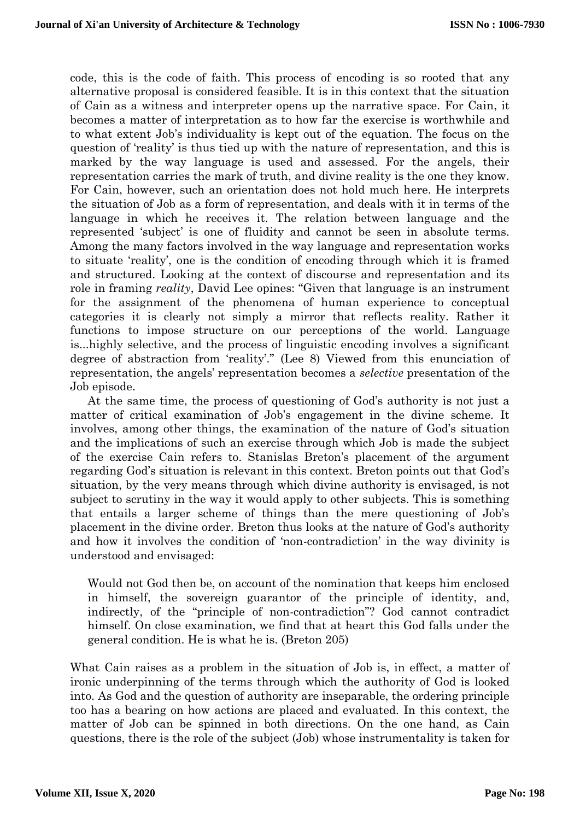code, this is the code of faith. This process of encoding is so rooted that any alternative proposal is considered feasible. It is in this context that the situation of Cain as a witness and interpreter opens up the narrative space. For Cain, it becomes a matter of interpretation as to how far the exercise is worthwhile and to what extent Job's individuality is kept out of the equation. The focus on the question of 'reality' is thus tied up with the nature of representation, and this is marked by the way language is used and assessed. For the angels, their representation carries the mark of truth, and divine reality is the one they know. For Cain, however, such an orientation does not hold much here. He interprets the situation of Job as a form of representation, and deals with it in terms of the language in which he receives it. The relation between language and the represented 'subject' is one of fluidity and cannot be seen in absolute terms. Among the many factors involved in the way language and representation works to situate 'reality', one is the condition of encoding through which it is framed and structured. Looking at the context of discourse and representation and its role in framing *reality*, David Lee opines: "Given that language is an instrument for the assignment of the phenomena of human experience to conceptual categories it is clearly not simply a mirror that reflects reality. Rather it functions to impose structure on our perceptions of the world. Language is...highly selective, and the process of linguistic encoding involves a significant degree of abstraction from 'reality'." (Lee 8) Viewed from this enunciation of representation, the angels' representation becomes a *selective* presentation of the Job episode.

At the same time, the process of questioning of God's authority is not just a matter of critical examination of Job's engagement in the divine scheme. It involves, among other things, the examination of the nature of God's situation and the implications of such an exercise through which Job is made the subject of the exercise Cain refers to. Stanislas Breton's placement of the argument regarding God's situation is relevant in this context. Breton points out that God's situation, by the very means through which divine authority is envisaged, is not subject to scrutiny in the way it would apply to other subjects. This is something that entails a larger scheme of things than the mere questioning of Job's placement in the divine order. Breton thus looks at the nature of God's authority and how it involves the condition of 'non-contradiction' in the way divinity is understood and envisaged:

Would not God then be, on account of the nomination that keeps him enclosed in himself, the sovereign guarantor of the principle of identity, and, indirectly, of the "principle of non-contradiction"? God cannot contradict himself. On close examination, we find that at heart this God falls under the general condition. He is what he is. (Breton 205)

What Cain raises as a problem in the situation of Job is, in effect, a matter of ironic underpinning of the terms through which the authority of God is looked into. As God and the question of authority are inseparable, the ordering principle too has a bearing on how actions are placed and evaluated. In this context, the matter of Job can be spinned in both directions. On the one hand, as Cain questions, there is the role of the subject (Job) whose instrumentality is taken for